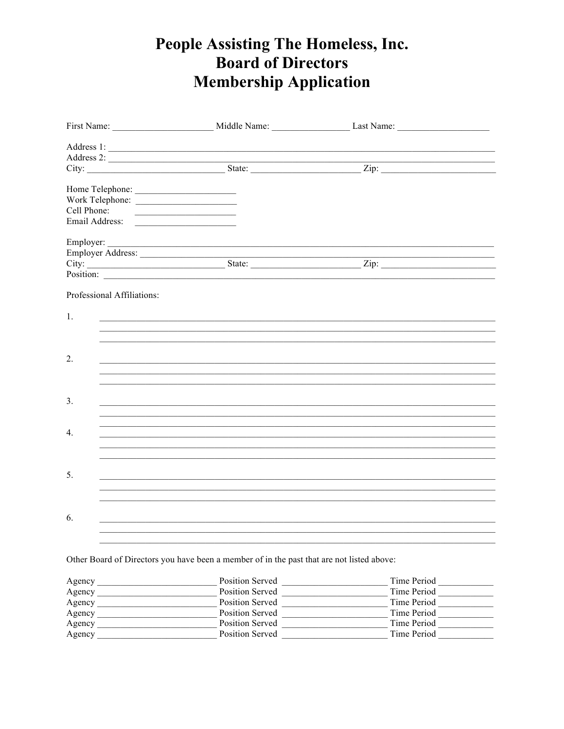## People Assisting The Homeless, Inc. **Board of Directors Membership Application**

| Cell Phone:                |                                                                                                                       |  |
|----------------------------|-----------------------------------------------------------------------------------------------------------------------|--|
|                            |                                                                                                                       |  |
|                            |                                                                                                                       |  |
|                            |                                                                                                                       |  |
|                            |                                                                                                                       |  |
|                            | Position:                                                                                                             |  |
| Professional Affiliations: |                                                                                                                       |  |
| 1.                         |                                                                                                                       |  |
|                            | <u> 1989 - Johann Harry Harry Harry Harry Harry Harry Harry Harry Harry Harry Harry Harry Harry Harry Harry Harry</u> |  |
| 2.                         | <u> 1989 - John Stoff, amerikansk politiker (d. 1989)</u>                                                             |  |
|                            |                                                                                                                       |  |
|                            |                                                                                                                       |  |
| 3 <sub>1</sub>             |                                                                                                                       |  |
|                            | ,我们也不能在这里的时候,我们也不能在这里的时候,我们也不能会在这里的时候,我们也不能会在这里的时候,我们也不能会在这里的时候,我们也不能会在这里的时候,我们也不                                     |  |
| 4.                         |                                                                                                                       |  |
|                            |                                                                                                                       |  |
|                            |                                                                                                                       |  |
| 5.                         |                                                                                                                       |  |
|                            |                                                                                                                       |  |
|                            |                                                                                                                       |  |
| 6.                         |                                                                                                                       |  |
|                            |                                                                                                                       |  |
|                            |                                                                                                                       |  |
|                            | Other Board of Directors you have been a member of in the past that are not listed above:                             |  |

| Agency | Position Served        | Time Period |
|--------|------------------------|-------------|
| Agency | <b>Position Served</b> | Time Period |
| Agency | <b>Position Served</b> | Time Period |
| Agency | <b>Position Served</b> | Time Period |
| Agency | <b>Position Served</b> | Time Period |
| Agency | <b>Position Served</b> | Time Period |